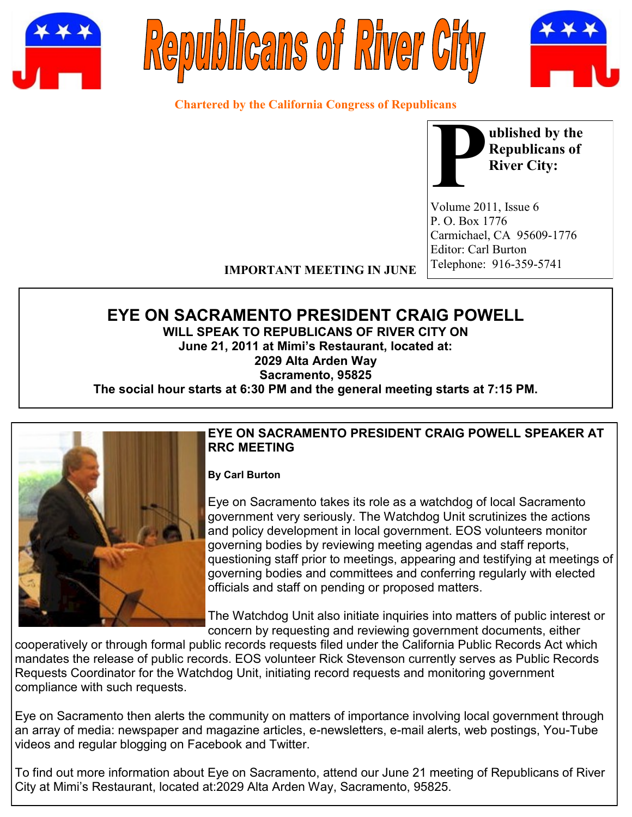





**Chartered by the California Congress of Republicans**



Volume 2011, Issue 6 P. O. Box 1776 Carmichael, CA 95609-1776 Editor: Carl Burton Telephone: 916-359-5741

**IMPORTANT MEETING IN JUNE**

# **EYE ON SACRAMENTO PRESIDENT CRAIG POWELL**

**WILL SPEAK TO REPUBLICANS OF RIVER CITY ON June 21, 2011 at Mimi's Restaurant, located at: 2029 Alta Arden Way Sacramento, 95825**

**The social hour starts at 6:30 PM and the general meeting starts at 7:15 PM.**



#### **EYE ON SACRAMENTO PRESIDENT CRAIG POWELL SPEAKER AT RRC MEETING**

#### **By Carl Burton**

Eye on Sacramento takes its role as a watchdog of local Sacramento government very seriously. The Watchdog Unit scrutinizes the actions and policy development in local government. EOS volunteers monitor governing bodies by reviewing meeting agendas and staff reports, questioning staff prior to meetings, appearing and testifying at meetings of governing bodies and committees and conferring regularly with elected officials and staff on pending or proposed matters.

The Watchdog Unit also initiate inquiries into matters of public interest or concern by requesting and reviewing government documents, either

cooperatively or through formal public records requests filed under the California Public Records Act which mandates the release of public records. EOS volunteer Rick Stevenson currently serves as Public Records Requests Coordinator for the Watchdog Unit, initiating record requests and monitoring government compliance with such requests.

Eye on Sacramento then alerts the community on matters of importance involving local government through an array of media: newspaper and magazine articles, e-newsletters, e-mail alerts, web postings, You-Tube videos and regular blogging on Facebook and Twitter.

To find out more information about Eye on Sacramento, attend our June 21 meeting of Republicans of River City at Mimi's Restaurant, located at:2029 Alta Arden Way, Sacramento, 95825.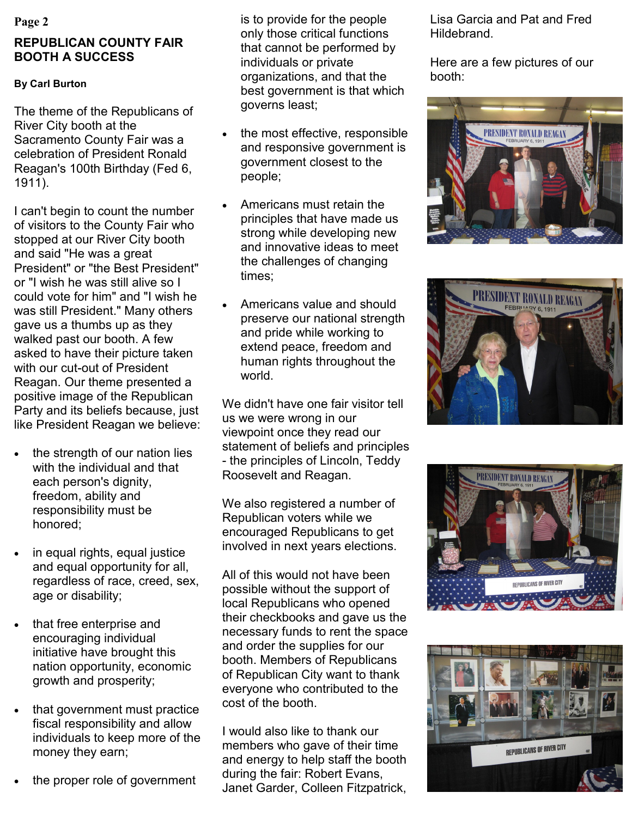#### **Page 2**

## **REPUBLICAN COUNTY FAIR BOOTH A SUCCESS**

### **By Carl Burton**

The theme of the Republicans of River City booth at the Sacramento County Fair was a celebration of President Ronald Reagan's 100th Birthday (Fed 6, 1911).

I can't begin to count the number of visitors to the County Fair who stopped at our River City booth and said "He was a great President" or "the Best President" or "I wish he was still alive so I could vote for him" and "I wish he was still President." Many others gave us a thumbs up as they walked past our booth. A few asked to have their picture taken with our cut-out of President Reagan. Our theme presented a positive image of the Republican Party and its beliefs because, just like President Reagan we believe:

- the strength of our nation lies with the individual and that each person's dignity, freedom, ability and responsibility must be honored;
- in equal rights, equal justice and equal opportunity for all, regardless of race, creed, sex, age or disability;
- that free enterprise and encouraging individual initiative have brought this nation opportunity, economic growth and prosperity;
- that government must practice fiscal responsibility and allow individuals to keep more of the money they earn;
- the proper role of government

is to provide for the people only those critical functions that cannot be performed by individuals or private organizations, and that the best government is that which governs least;

- the most effective, responsible and responsive government is government closest to the people;
- Americans must retain the principles that have made us strong while developing new and innovative ideas to meet the challenges of changing times;
- Americans value and should preserve our national strength and pride while working to extend peace, freedom and human rights throughout the world.

We didn't have one fair visitor tell us we were wrong in our viewpoint once they read our statement of beliefs and principles - the principles of Lincoln, Teddy Roosevelt and Reagan.

We also registered a number of Republican voters while we encouraged Republicans to get involved in next years elections.

All of this would not have been possible without the support of local Republicans who opened their checkbooks and gave us the necessary funds to rent the space and order the supplies for our booth. Members of Republicans of Republican City want to thank everyone who contributed to the cost of the booth.

I would also like to thank our members who gave of their time and energy to help staff the booth during the fair: Robert Evans, Janet Garder, Colleen Fitzpatrick, Lisa Garcia and Pat and Fred Hildebrand.

Here are a few pictures of our booth:







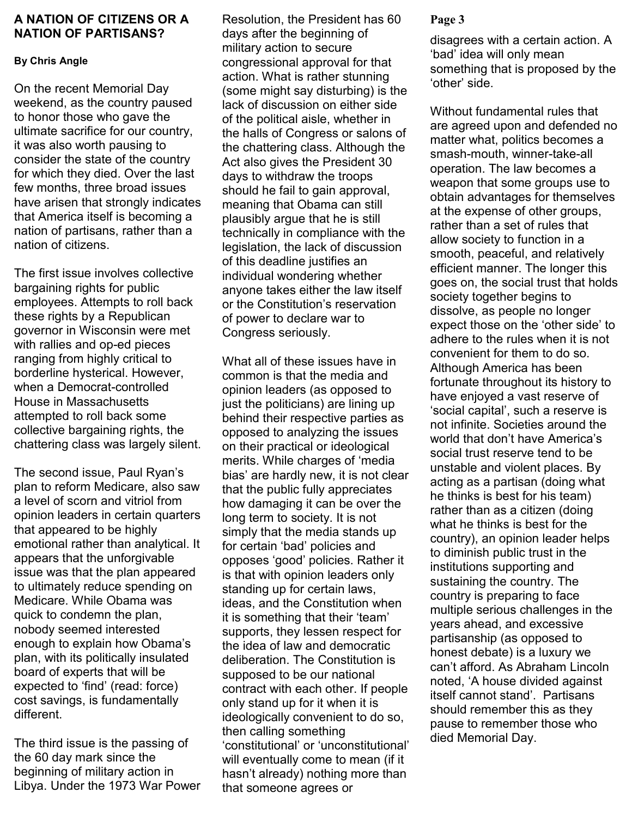#### **A NATION OF CITIZENS OR A** Resolution, the President has 60 Page 3 **NATION OF PARTISANS?**

#### **By Chris Angle**

On the recent Memorial Day weekend, as the country paused to honor those who gave the ultimate sacrifice for our country, it was also worth pausing to consider the state of the country for which they died. Over the last few months, three broad issues have arisen that strongly indicates that America itself is becoming a nation of partisans, rather than a nation of citizens.

The first issue involves collective bargaining rights for public employees. Attempts to roll back these rights by a Republican governor in Wisconsin were met with rallies and op-ed pieces ranging from highly critical to borderline hysterical. However, when a Democrat-controlled House in Massachusetts attempted to roll back some collective bargaining rights, the chattering class was largely silent.

The second issue, Paul Ryan's plan to reform Medicare, also saw a level of scorn and vitriol from opinion leaders in certain quarters that appeared to be highly emotional rather than analytical. It appears that the unforgivable issue was that the plan appeared to ultimately reduce spending on Medicare. While Obama was quick to condemn the plan, nobody seemed interested enough to explain how Obama's plan, with its politically insulated board of experts that will be expected to 'find' (read: force) cost savings, is fundamentally different.

The third issue is the passing of the 60 day mark since the beginning of military action in Libya. Under the 1973 War Power days after the beginning of military action to secure congressional approval for that action. What is rather stunning (some might say disturbing) is the lack of discussion on either side of the political aisle, whether in the halls of Congress or salons of the chattering class. Although the Act also gives the President 30 days to withdraw the troops should he fail to gain approval, meaning that Obama can still plausibly argue that he is still technically in compliance with the legislation, the lack of discussion of this deadline justifies an individual wondering whether anyone takes either the law itself or the Constitution's reservation of power to declare war to Congress seriously.

What all of these issues have in common is that the media and opinion leaders (as opposed to just the politicians) are lining up behind their respective parties as opposed to analyzing the issues on their practical or ideological merits. While charges of 'media bias' are hardly new, it is not clear that the public fully appreciates how damaging it can be over the long term to society. It is not simply that the media stands up for certain 'bad' policies and opposes 'good' policies. Rather it is that with opinion leaders only standing up for certain laws, ideas, and the Constitution when it is something that their 'team' supports, they lessen respect for the idea of law and democratic deliberation. The Constitution is supposed to be our national contract with each other. If people only stand up for it when it is ideologically convenient to do so, then calling something 'constitutional' or 'unconstitutional' will eventually come to mean (if it hasn't already) nothing more than that someone agrees or

disagrees with a certain action. A 'bad' idea will only mean something that is proposed by the 'other' side.

Without fundamental rules that are agreed upon and defended no matter what, politics becomes a smash-mouth, winner-take-all operation. The law becomes a weapon that some groups use to obtain advantages for themselves at the expense of other groups, rather than a set of rules that allow society to function in a smooth, peaceful, and relatively efficient manner. The longer this goes on, the social trust that holds society together begins to dissolve, as people no longer expect those on the 'other side' to adhere to the rules when it is not convenient for them to do so. Although America has been fortunate throughout its history to have enjoyed a vast reserve of 'social capital', such a reserve is not infinite. Societies around the world that don't have America's social trust reserve tend to be unstable and violent places. By acting as a partisan (doing what he thinks is best for his team) rather than as a citizen (doing what he thinks is best for the country), an opinion leader helps to diminish public trust in the institutions supporting and sustaining the country. The country is preparing to face multiple serious challenges in the years ahead, and excessive partisanship (as opposed to honest debate) is a luxury we can't afford. As Abraham Lincoln noted, 'A house divided against itself cannot stand'. Partisans should remember this as they pause to remember those who died Memorial Day.